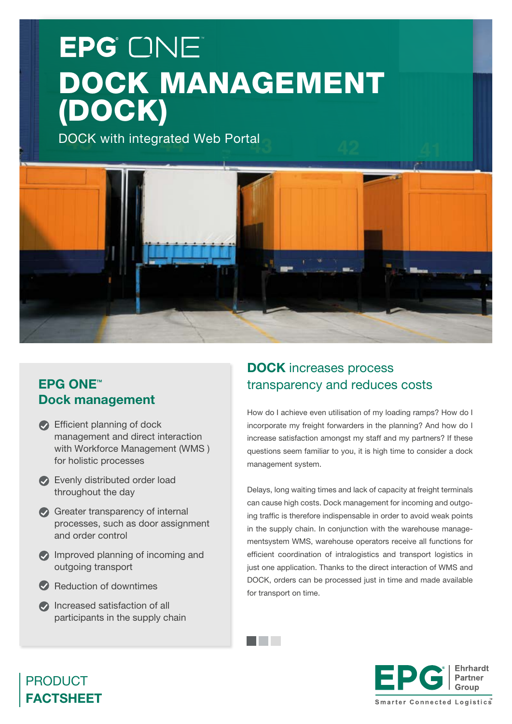# EPG<sup>'</sup> ONE DOCK MANAGEMENT (DOCK)

DOCK with integrated Web Portal



and the con-

## **EPG ONE™** Dock management

- Efficient planning of dock management and direct interaction with Workforce Management (WMS ) for holistic processes
- Evenly distributed order load throughout the day
- Greater transparency of internal processes, such as door assignment and order control
- Improved planning of incoming and outgoing transport
- Reduction of downtimes
- **Increased satisfaction of all** participants in the supply chain

# DOCK increases process transparency and reduces costs

How do I achieve even utilisation of my loading ramps? How do I incorporate my freight forwarders in the planning? And how do I increase satisfaction amongst my staff and my partners? If these questions seem familiar to you, it is high time to consider a dock management system.

Delays, long waiting times and lack of capacity at freight terminals can cause high costs. Dock management for incoming and outgoing traffic is therefore indispensable in order to avoid weak points in the supply chain. In conjunction with the warehouse managementsystem WMS, warehouse operators receive all functions for efficient coordination of intralogistics and transport logistics in just one application. Thanks to the direct interaction of WMS and DOCK, orders can be processed just in time and made available for transport on time.



# PRODUCT FACTSHEET